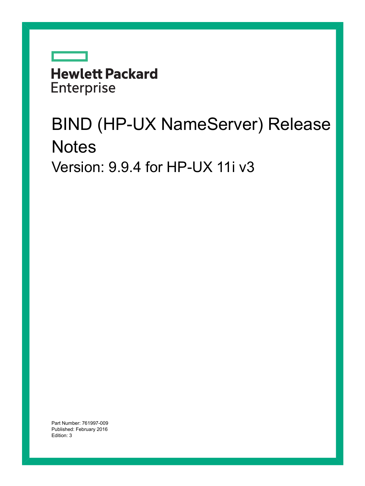|                   | <b>Hewlett Packard</b> |
|-------------------|------------------------|
| <b>Enterprise</b> |                        |
|                   |                        |

# BIND (HP-UX NameServer) Release **Notes** Version: 9.9.4 for HP-UX 11i v3

Part Number: 761997-009 Published: February 2016 Edition: 3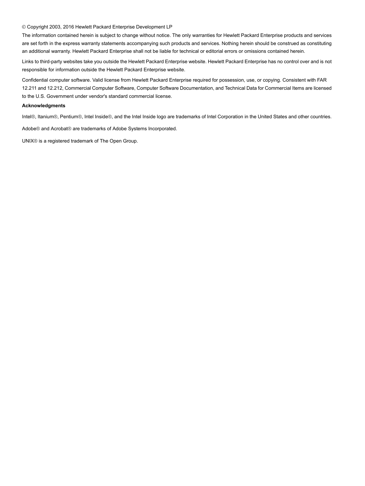#### © Copyright 2003, 2016 Hewlett Packard Enterprise Development LP

The information contained herein is subject to change without notice. The only warranties for Hewlett Packard Enterprise products and services are set forth in the express warranty statements accompanying such products and services. Nothing herein should be construed as constituting an additional warranty. Hewlett Packard Enterprise shall not be liable for technical or editorial errors or omissions contained herein.

Links to third-party websites take you outside the Hewlett Packard Enterprise website. Hewlett Packard Enterprise has no control over and is not responsible for information outside the Hewlett Packard Enterprise website.

Confidential computer software. Valid license from Hewlett Packard Enterprise required for possession, use, or copying. Consistent with FAR 12.211 and 12.212, Commercial Computer Software, Computer Software Documentation, and Technical Data for Commercial Items are licensed to the U.S. Government under vendor's standard commercial license.

#### **Acknowledgments**

Intel®, Itanium®, Pentium®, Intel Inside®, and the Intel Inside logo are trademarks of Intel Corporation in the United States and other countries.

Adobe® and Acrobat® are trademarks of Adobe Systems Incorporated.

UNIX® is a registered trademark of The Open Group.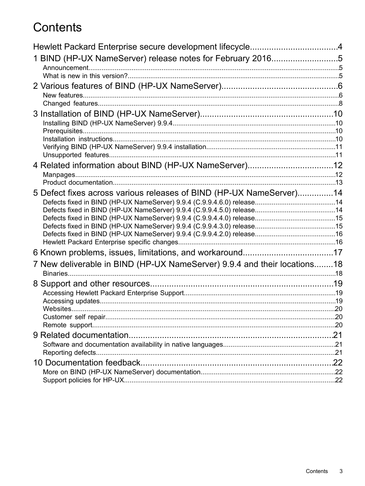## Contents

| 1 BIND (HP-UX NameServer) release notes for February 20165               |  |
|--------------------------------------------------------------------------|--|
|                                                                          |  |
|                                                                          |  |
|                                                                          |  |
|                                                                          |  |
|                                                                          |  |
|                                                                          |  |
|                                                                          |  |
|                                                                          |  |
|                                                                          |  |
|                                                                          |  |
|                                                                          |  |
|                                                                          |  |
|                                                                          |  |
| 5 Defect fixes across various releases of BIND (HP-UX NameServer)14      |  |
|                                                                          |  |
|                                                                          |  |
|                                                                          |  |
|                                                                          |  |
|                                                                          |  |
|                                                                          |  |
| 7 New deliverable in BIND (HP-UX NameServer) 9.9.4 and their locations18 |  |
|                                                                          |  |
|                                                                          |  |
|                                                                          |  |
|                                                                          |  |
|                                                                          |  |
|                                                                          |  |
|                                                                          |  |
|                                                                          |  |
|                                                                          |  |
|                                                                          |  |
|                                                                          |  |
|                                                                          |  |
|                                                                          |  |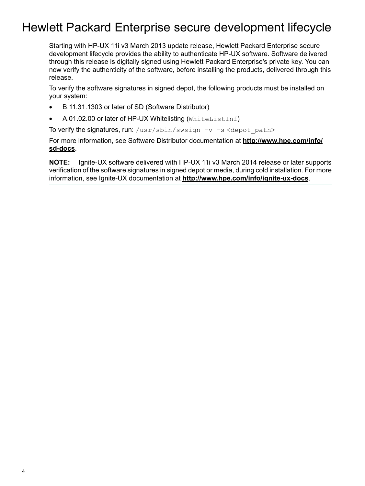## <span id="page-3-0"></span>Hewlett Packard Enterprise secure development lifecycle

Starting with HP-UX 11i v3 March 2013 update release, Hewlett Packard Enterprise secure development lifecycle provides the ability to authenticate HP-UX software. Software delivered through this release is digitally signed using Hewlett Packard Enterprise's private key. You can now verify the authenticity of the software, before installing the products, delivered through this release.

To verify the software signatures in signed depot, the following products must be installed on your system:

- B.11.31.1303 or later of SD (Software Distributor)
- A.01.02.00 or later of HP-UX Whitelisting (WhiteListInf)

To verify the signatures, run: /usr/sbin/swsign  $-v$  -s < depot path>

For more information, see Software Distributor documentation at **[http://www.hpe.com/info/](http://www.hpe.com/info/sd-docs) [sd-docs](http://www.hpe.com/info/sd-docs)**.

**NOTE:** Ignite-UX software delivered with HP-UX 11i v3 March 2014 release or later supports verification of the software signatures in signed depot or media, during cold installation. For more information, see Ignite-UX documentation at **<http://www.hpe.com/info/ignite-ux-docs>**.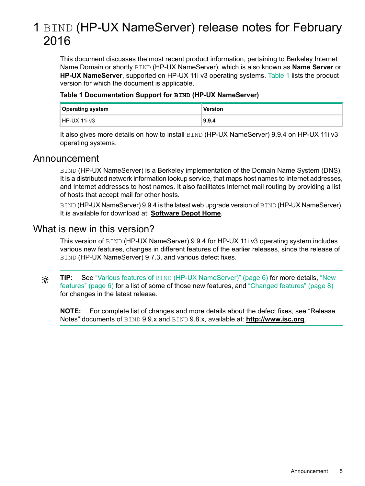## <span id="page-4-0"></span>1 BIND (HP-UX NameServer) release notes for February 2016

This document discusses the most recent product information, pertaining to Berkeley Internet Name Domain or shortly BIND (HP-UX NameServer), which is also known as **Name Server** or **HP-UX NameServer**, supported on HP-UX 11i v3 operating systems. [Table](#page-4-3) 1 lists the product version for which the document is applicable.

#### <span id="page-4-3"></span>**Table 1 Documentation Support for BIND (HP-UX NameServer)**

| <b>Operating system</b> | <b>Version</b> |
|-------------------------|----------------|
| l HP-UX 11i v3          | 9.9.4          |

<span id="page-4-1"></span>It also gives more details on how to install BIND (HP-UX NameServer) 9.9.4 on HP-UX 11i v3 operating systems.

#### Announcement

BIND (HP-UX NameServer) is a Berkeley implementation of the Domain Name System (DNS). It is a distributed network information lookup service, that maps host names to Internet addresses, and Internet addresses to host names. It also facilitates Internet mail routing by providing a list of hosts that accept mail for other hosts.

<span id="page-4-2"></span>BIND (HP-UX NameServer) 9.9.4 is the latest web upgrade version of BIND (HP-UX NameServer). It is available for download at: **[Software](http://www.hpe.com/support/softwaredepot) Depot Home**.

#### What is new in this version?

This version of BIND (HP-UX NameServer) 9.9.4 for HP-UX 11i v3 operating system includes various new features, changes in different features of the earlier releases, since the release of BIND (HP-UX NameServer) 9.7.3, and various defect fixes.

**TIP:** See "Various features of BIND (HP-UX [NameServer\)"](#page-5-0) (page 6) for more details, ["New](#page-5-1)  $\cdot \nabla$ [features"](#page-5-1) (page 6) for a list of some of those new features, and ["Changed](#page-7-0) features" (page 8) for changes in the latest release.

**NOTE:** For complete list of changes and more details about the defect fixes, see "Release Notes" documents of BIND 9.9.x and BIND 9.8.x, available at: **<http://www.isc.org>**.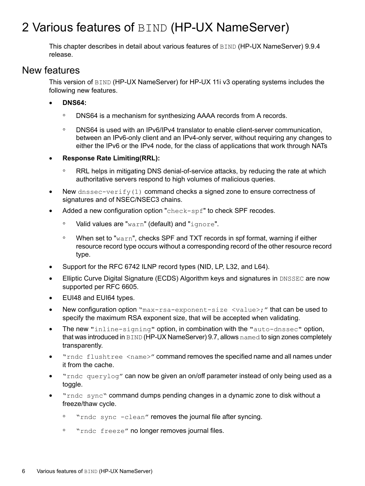## <span id="page-5-0"></span>2 Various features of BIND (HP-UX NameServer)

<span id="page-5-1"></span>This chapter describes in detail about various features of BIND (HP-UX NameServer) 9.9.4 release.

#### New features

This version of BIND (HP-UX NameServer) for HP-UX 11i v3 operating systems includes the following new features.

- **DNS64:**
	- DNS64 is a mechanism for synthesizing AAAA records from A records.
	- DNS64 is used with an IPv6/IPv4 translator to enable client-server communication, between an IPv6-only client and an IPv4-only server, without requiring any changes to either the IPv6 or the IPv4 node, for the class of applications that work through NATs
- **Response Rate Limiting(RRL):**
	- RRL helps in mitigating DNS denial-of-service attacks, by reducing the rate at which authoritative servers respond to high volumes of malicious queries.
- New dnssec-verify(1) command checks a signed zone to ensure correctness of signatures and of NSEC/NSEC3 chains.
- Added a new configuration option "check-spf" to check SPF recodes.
	- Valid values are "warn" (default) and "ignore".
	- When set to "warn", checks SPF and TXT records in spf format, warning if either resource record type occurs without a corresponding record of the other resource record type.
- Support for the RFC 6742 ILNP record types (NID, LP, L32, and L64).
- Elliptic Curve Digital Signature (ECDS) Algorithm keys and signatures in DNSSEC are now supported per RFC 6605.
- EUI48 and EUI64 types.
- New configuration option "max-rsa-exponent-size <value>;" that can be used to specify the maximum RSA exponent size, that will be accepted when validating.
- The new "inline-signing" option, in combination with the "auto-dnssec" option, that was introduced in BIND (HP-UX NameServer) 9.7, allows named to sign zones completely transparently.
- "rndc flushtree <name>" command removes the specified name and all names under it from the cache.
- "rndc querylog" can now be given an on/off parameter instead of only being used as a toggle.
- "rndc sync" command dumps pending changes in a dynamic zone to disk without a freeze/thaw cycle.
	- "rndc sync -clean" removes the journal file after syncing.
	- "rndc freeze" no longer removes journal files.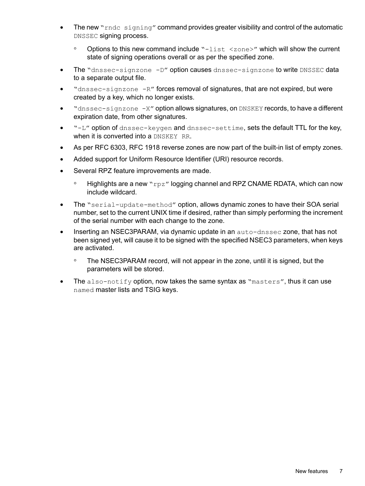- The new "rndc signing" command provides greater visibility and control of the automatic DNSSEC signing process.
	- Options to this new command include "-list <zone>" which will show the current state of signing operations overall or as per the specified zone.
- The "dnssec-signzone -D" option causes dnssec-signzone to write DNSSEC data to a separate output file.
- "dnssec-signzone -R" forces removal of signatures, that are not expired, but were created by a key, which no longer exists.
- "dnssec-signzone -X" option allows signatures, on DNSKEY records, to have a different expiration date, from other signatures.
- "-L" option of dnssec-keygen and dnssec-settime, sets the default TTL for the key, when it is converted into a DNSKEY RR.
- As per RFC 6303, RFC 1918 reverse zones are now part of the built-in list of empty zones.
- Added support for Uniform Resource Identifier (URI) resource records.
- Several RPZ feature improvements are made.
	- $\degree$  Highlights are a new  $\text{``rpz''}$  logging channel and RPZ CNAME RDATA, which can now include wildcard.
- The "serial-update-method" option, allows dynamic zones to have their SOA serial number, set to the current UNIX time if desired, rather than simply performing the increment of the serial number with each change to the zone.
- Inserting an NSEC3PARAM, via dynamic update in an auto-dnssec zone, that has not been signed yet, will cause it to be signed with the specified NSEC3 parameters, when keys are activated.
	- The NSEC3PARAM record, will not appear in the zone, until it is signed, but the parameters will be stored.
- The also-notify option, now takes the same syntax as "masters", thus it can use named master lists and TSIG keys.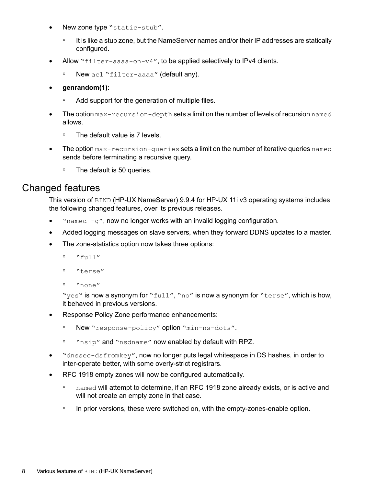- New zone type "static-stub".
	- It is like a stub zone, but the NameServer names and/or their IP addresses are statically configured.
- Allow "filter-aaaa-on-v4", to be applied selectively to IPv4 clients.
	- New acl "filter-aaaa" (default any).

#### • **genrandom(1):**

- Add support for the generation of multiple files.
- The option max-recursion-depth sets a limit on the number of levels of recursion named allows.
	- The default value is 7 levels.
- <span id="page-7-0"></span>The option  $max-recursion-queries$  sets a limit on the number of iterative queries named sends before terminating a recursive query.
	- The default is 50 queries.

#### Changed features

This version of BIND (HP-UX NameServer) 9.9.4 for HP-UX 11i v3 operating systems includes the following changed features, over its previous releases.

- " $n$ amed  $-q$ ", now no longer works with an invalid logging configuration.
- Added logging messages on slave servers, when they forward DDNS updates to a master.
- The zone-statistics option now takes three options:
	- "full"
	- "terse"
	- "none"

"yes" is now a synonym for "full", "no" is now a synonym for "terse", which is how, it behaved in previous versions.

- Response Policy Zone performance enhancements:
	- New "response-policy" option "min-ns-dots".
	- "nsip" and "nsdname" now enabled by default with RPZ.
- "dnssec-dsfromkey", now no longer puts legal whitespace in DS hashes, in order to inter-operate better, with some overly-strict registrars.
- RFC 1918 empty zones will now be configured automatically.
	- named will attempt to determine, if an RFC 1918 zone already exists, or is active and will not create an empty zone in that case. ◦
	- In prior versions, these were switched on, with the empty-zones-enable option.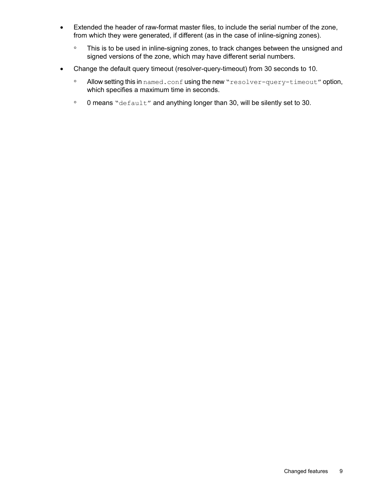- Extended the header of raw-format master files, to include the serial number of the zone, from which they were generated, if different (as in the case of inline-signing zones).
	- This is to be used in inline-signing zones, to track changes between the unsigned and signed versions of the zone, which may have different serial numbers.
- Change the default query timeout (resolver-query-timeout) from 30 seconds to 10.
	- Allow setting this in named.conf using the new "resolver-query-timeout" option, which specifies a maximum time in seconds.
	- 0 means "default" and anything longer than 30, will be silently set to 30.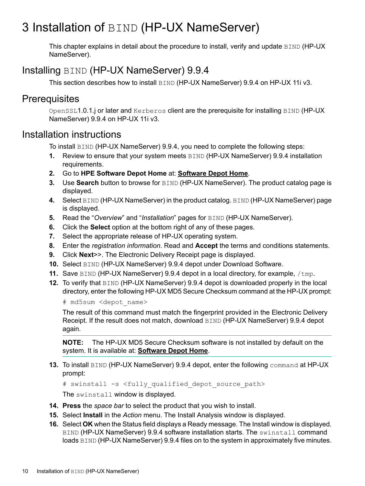## <span id="page-9-0"></span>3 Installation of BIND (HP-UX NameServer)

<span id="page-9-1"></span>This chapter explains in detail about the procedure to install, verify and update BIND (HP-UX) NameServer).

### Installing BIND (HP-UX NameServer) 9.9.4

<span id="page-9-2"></span>This section describes how to install BIND (HP-UX NameServer) 9.9.4 on HP-UX 11i v3.

#### **Prerequisites**

<span id="page-9-3"></span>OpenSSL1.0.1.j or later and Kerberos client are the prerequisite for installing BIND (HP-UX NameServer) 9.9.4 on HP-UX 11i v3.

### Installation instructions

To install BIND (HP-UX NameServer) 9.9.4, you need to complete the following steps:

- **1.** Review to ensure that your system meets **BIND** (HP-UX NameServer) 9.9.4 installation requirements.
- **2.** Go to **HPE Software Depot Home** at: **[Software](http://www.hpe.com/support/softwaredepot) Depot Home**.
- **3.** Use **Search** button to browse for BIND (HP-UX NameServer). The product catalog page is displayed.
- **4.** Select BIND (HP-UX NameServer) in the product catalog. BIND (HP-UX NameServer) page is displayed.
- **5.** Read the "*Overview*" and "*Installation*" pages for BIND (HP-UX NameServer).
- **6.** Click the **Select** option at the bottom right of any of these pages.
- **7.** Select the appropriate release of HP-UX operating system.
- **8.** Enter the *registration information*. Read and **Accept** the terms and conditions statements.
- **9.** Click **Next**>>. The Electronic Delivery Receipt page is displayed.
- **10.** Select BIND (HP-UX NameServer) 9.9.4 depot under Download Software.
- **11.** Save BIND (HP-UX NameServer) 9.9.4 depot in a local directory, for example, /tmp.
- **12.** To verify that **BIND** (HP-UX NameServer) 9.9.4 depot is downloaded properly in the local directory, enter the following HP-UX MD5 Secure Checksum command at the HP-UX prompt:

# md5sum <depot\_name>

The result of this command must match the fingerprint provided in the Electronic Delivery Receipt. If the result does not match, download BIND (HP-UX NameServer) 9.9.4 depot again.

**NOTE:** The HP-UX MD5 Secure Checksum software is not installed by default on the system. It is available at: **[Software](http://www.hpe.com/support/softwaredepot) Depot Home**.

**13.** To install BIND (HP-UX NameServer) 9.9.4 depot, enter the following command at HP-UX prompt:

# swinstall -s <fully\_qualified\_depot\_source\_path>

The swinstall window is displayed.

- **14. Press** the *space bar* to select the product that you wish to install.
- **15.** Select **Install** in the *Action* menu. The Install Analysis window is displayed.
- **16.** Select **OK** when the Status field displays a Ready message. The Install window is displayed. BIND (HP-UX NameServer) 9.9.4 software installation starts. The swinstall command loads BIND (HP-UX NameServer) 9.9.4 files on to the system in approximately five minutes.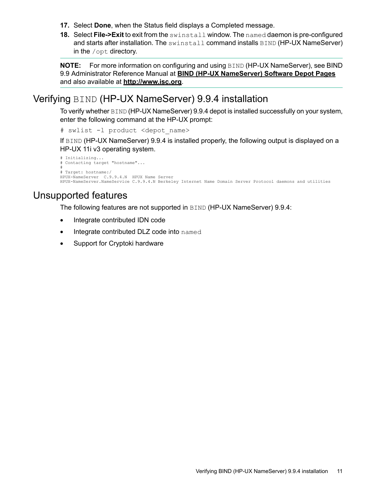- **17.** Select **Done**, when the Status field displays a Completed message.
- **18.** Select **File->Exit** to exit from the swinstall window. The named daemon is pre-configured and starts after installation. The  $swinstall$  command installs  $BIND$  (HP-UX NameServer) in the /opt directory.

<span id="page-10-0"></span>**NOTE:** For more information on configuring and using BIND (HP-UX NameServer), see BIND 9.9 Administrator Reference Manual at **BIND (HP-UX [NameServer\)](https://h20392.www2.hpe.com/portal/swdepot/displayProductInfo.do?productNumber=BIND) Software Depot Pages** and also available at **<http://www.isc.org>**.

#### Verifying BIND (HP-UX NameServer) 9.9.4 installation

To verify whether BIND (HP-UX NameServer) 9.9.4 depot is installed successfully on your system, enter the following command at the HP-UX prompt:

```
# swlist -l product <depot_name>
```
If BIND (HP-UX NameServer) 9.9.4 is installed properly, the following output is displayed on a HP-UX 11i v3 operating system.

```
# Initializing...
# Contacting target "hostname"...
#
# Target: hostname:/
HPUX-NameServer C.9.9.4.N HPUX Name Server
HPUX-NameServer.NameService C.9.9.4.N Berkeley Internet Name Domain Server Protocol daemons and utilities
```
### Unsupported features

The following features are not supported in BIND (HP-UX NameServer) 9.9.4:

- Integrate contributed IDN code
- Integrate contributed DLZ code into named
- Support for Cryptoki hardware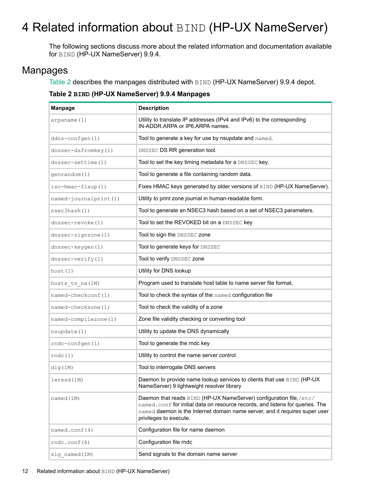## <span id="page-11-0"></span>4 Related information about BIND (HP-UX NameServer)

<span id="page-11-1"></span>The following sections discuss more about the related information and documentation available for BIND (HP-UX NameServer) 9.9.4.

### Manpages

<span id="page-11-2"></span>[Table](#page-11-2) 2 describes the manpages distributed with BIND (HP-UX NameServer) 9.9.4 depot.

| Table 2 BIND (HP-UX NameServer) 9.9.4 Manpages |
|------------------------------------------------|
|------------------------------------------------|

| <b>Manpage</b>            | <b>Description</b>                                                                                                                                                                                                                                           |
|---------------------------|--------------------------------------------------------------------------------------------------------------------------------------------------------------------------------------------------------------------------------------------------------------|
| arpaname (1)              | Utility to translate IP addresses (IPv4 and IPv6) to the corresponding<br>IN-ADDR.ARPA or IP6.ARPA names.                                                                                                                                                    |
| ddns-confgen(1)           | Tool to generate a key for use by nsupdate and named.                                                                                                                                                                                                        |
| $d$ nssec-dsfromkey $(1)$ | DNSSEC DS RR generation tool.                                                                                                                                                                                                                                |
| dnssec-settime(1)         | Tool to set the key timing metadata for a DNSSEC key.                                                                                                                                                                                                        |
| genrandom (1)             | Tool to generate a file containing random data.                                                                                                                                                                                                              |
| isc-hmac-fixup(1)         | Fixes HMAC keys generated by older versions of BIND (HP-UX NameServer).                                                                                                                                                                                      |
| named-journalprint(1)     | Utility to print zone journal in human-readable form.                                                                                                                                                                                                        |
| nsec3hash(1)              | Tool to generate an NSEC3 hash based on a set of NSEC3 parameters.                                                                                                                                                                                           |
| dnssec-revoke(1)          | Tool to set the REVOKED bit on a DNSSEC key                                                                                                                                                                                                                  |
| dnssec-signzone(1)        | Tool to sign the DNSSEC zone                                                                                                                                                                                                                                 |
| dnssec-keygen(1)          | Tool to generate keys for DNSSEC                                                                                                                                                                                                                             |
| $d$ nssec-verify $(1)$    | Tool to verify DNSSEC zone                                                                                                                                                                                                                                   |
| host(1)                   | Utility for DNS lookup                                                                                                                                                                                                                                       |
| hosts to na (1M)          | Program used to translate host table to name server file format.                                                                                                                                                                                             |
| named-checkconf(1)        | Tool to check the syntax of the named configuration file                                                                                                                                                                                                     |
| named-checkzone(1)        | Tool to check the validity of a zone                                                                                                                                                                                                                         |
| named-compilezone(1)      | Zone file validity checking or converting tool                                                                                                                                                                                                               |
| $n$ supdate $(1)$         | Utility to update the DNS dynamically                                                                                                                                                                                                                        |
| $rndc$ -confgen $(1)$     | Tool to generate the rndc key                                                                                                                                                                                                                                |
| $\text{rndc}(1)$          | Utility to control the name server control                                                                                                                                                                                                                   |
| diag(1M)                  | Tool to interrogate DNS servers                                                                                                                                                                                                                              |
| lwresd(1M)                | Daemon to provide name lookup services to clients that use BIND (HP-UX<br>NameServer) 9 lightweight resolver library                                                                                                                                         |
| named (1M)                | Daemon that reads BIND (HP-UX NameServer) configuration file,/etc/<br>named.conf for initial data on resource records, and listens for queries. The<br>named daemon is the Internet domain name server, and it requires super user<br>privileges to execute. |
| named.conf $(4)$          | Configuration file for name daemon                                                                                                                                                                                                                           |
| rndc.comf(4)              | Configuration file rndc                                                                                                                                                                                                                                      |
| sig named (1M)            | Send signals to the domain name server                                                                                                                                                                                                                       |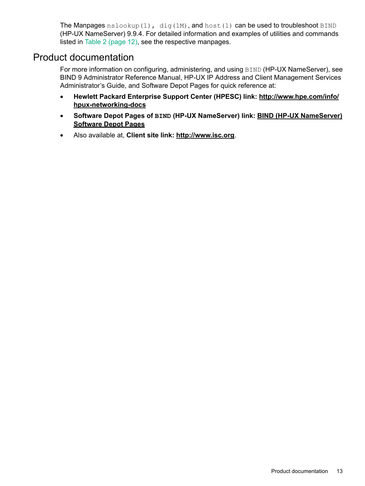<span id="page-12-0"></span>The Manpages  $n\text{slockup}(1)$ ,  $\text{dig}(1M)$ , and  $h\text{ost}(1)$  can be used to troubleshoot  $\text{BIND}$ (HP-UX NameServer) 9.9.4. For detailed information and examples of utilities and commands listed in Table 2 [\(page](#page-11-2) 12), see the respective manpages.

#### Product documentation

For more information on configuring, administering, and using BIND (HP-UX NameServer), see BIND 9 Administrator Reference Manual, HP-UX IP Address and Client Management Services Administrator's Guide, and Software Depot Pages for quick reference at:

- **Hewlett Packard Enterprise Support Center (HPESC) link: [http://www.hpe.com/info/](http://www.hpe.com/info/hpux-networking-docs) [hpux-networking-docs](http://www.hpe.com/info/hpux-networking-docs)**
- **Software Depot Pages of BIND (HP-UX NameServer) link: BIND (HP-UX [NameServer\)](https://h20392.www2.hpe.com/portal/swdepot/displayProductInfo.do?productNumber=BIND) [Software](https://h20392.www2.hpe.com/portal/swdepot/displayProductInfo.do?productNumber=BIND) Depot Pages**
- Also available at, **Client site link: <http://www.isc.org>**.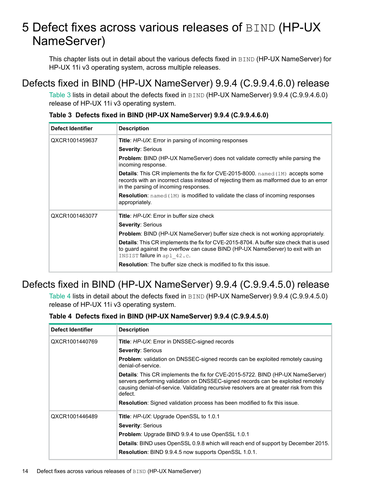## <span id="page-13-0"></span>5 Defect fixes across various releases of BIND (HP-UX NameServer)

<span id="page-13-1"></span>This chapter lists out in detail about the various defects fixed in BIND (HP-UX NameServer) for HP-UX 11i v3 operating system, across multiple releases.

### Defects fixed in BIND (HP-UX NameServer) 9.9.4 (C.9.9.4.6.0) release

<span id="page-13-3"></span>[Table](#page-13-3) 3 lists in detail about the defects fixed in BIND (HP-UX NameServer) 9.9.4 (C.9.9.4.6.0) release of HP-UX 11i v3 operating system.

| <b>Defect Identifier</b> | <b>Description</b>                                                                                                                                                                                                            |
|--------------------------|-------------------------------------------------------------------------------------------------------------------------------------------------------------------------------------------------------------------------------|
| QXCR1001459637           | <b>Title:</b> HP-UX: Error in parsing of incoming responses                                                                                                                                                                   |
|                          | <b>Severity: Serious</b>                                                                                                                                                                                                      |
|                          | <b>Problem:</b> BIND (HP-UX NameServer) does not validate correctly while parsing the<br>incoming response.                                                                                                                   |
|                          | <b>Details:</b> This CR implements the fix for CVE-2015-8000. $\mu$ amed (1M) accepts some<br>records with an incorrect class instead of rejecting them as malformed due to an error<br>in the parsing of incoming responses. |
|                          | Resolution: named (1M) is modified to validate the class of incoming responses<br>appropriately.                                                                                                                              |
| QXCR1001463077           | <b>Title:</b> HP-UX: Error in buffer size check                                                                                                                                                                               |
|                          | <b>Severity: Serious</b>                                                                                                                                                                                                      |
|                          | <b>Problem:</b> BIND (HP-UX NameServer) buffer size check is not working appropriately.                                                                                                                                       |
|                          | <b>Details:</b> This CR implements the fix for CVE-2015-8704. A buffer size check that is used<br>to quard against the overflow can cause BIND (HP-UX NameServer) to exit with an<br>INSIST failure in apl 42.c.              |
|                          | <b>Resolution:</b> The buffer size check is modified to fix this issue.                                                                                                                                                       |

**Table 3 Defects fixed in BIND (HP-UX NameServer) 9.9.4 (C.9.9.4.6.0)**

### <span id="page-13-2"></span>Defects fixed in BIND (HP-UX NameServer) 9.9.4 (C.9.9.4.5.0) release

<span id="page-13-4"></span>[Table](#page-13-4) 4 lists in detail about the defects fixed in BIND (HP-UX NameServer) 9.9.4 (C.9.9.4.5.0) release of HP-UX 11i v3 operating system.

**Table 4 Defects fixed in BIND (HP-UX NameServer) 9.9.4 (C.9.9.4.5.0)**

| Defect Identifier | <b>Description</b>                                                                                                                                                                                                                                                              |
|-------------------|---------------------------------------------------------------------------------------------------------------------------------------------------------------------------------------------------------------------------------------------------------------------------------|
| QXCR1001440769    | <b>Title: HP-UX: Error in DNSSEC-signed records</b>                                                                                                                                                                                                                             |
|                   | <b>Severity: Serious</b>                                                                                                                                                                                                                                                        |
|                   | <b>Problem:</b> validation on DNSSEC-signed records can be exploited remotely causing<br>denial-of-service.                                                                                                                                                                     |
|                   | <b>Details:</b> This CR implements the fix for CVE-2015-5722. BIND (HP-UX NameServer)<br>servers performing validation on DNSSEC-signed records can be exploited remotely<br>causing denial-of-service. Validating recursive resolvers are at greater risk from this<br>defect. |
|                   | <b>Resolution:</b> Signed validation process has been modified to fix this issue.                                                                                                                                                                                               |
| QXCR1001446489    | <b>Title:</b> HP-UX: Upgrade OpenSSL to 1.0.1                                                                                                                                                                                                                                   |
|                   | <b>Severity: Serious</b>                                                                                                                                                                                                                                                        |
|                   | <b>Problem:</b> Upgrade BIND 9.9.4 to use OpenSSL 1.0.1                                                                                                                                                                                                                         |
|                   | <b>Details:</b> BIND uses OpenSSL 0.9.8 which will reach end of support by December 2015.                                                                                                                                                                                       |
|                   | <b>Resolution:</b> BIND 9.9.4.5 now supports OpenSSL 1.0.1.                                                                                                                                                                                                                     |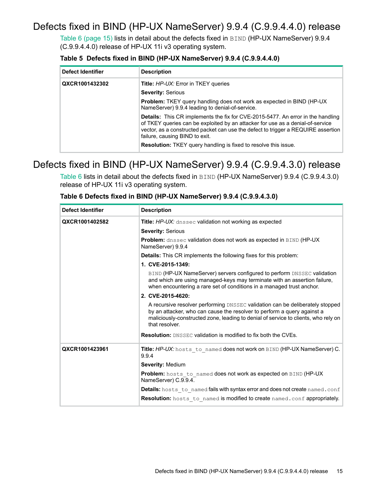### Defects fixed in BIND (HP-UX NameServer) 9.9.4 (C.9.9.4.4.0) release

<span id="page-14-0"></span>Table 6 [\(page](#page-14-2) 15) lists in detail about the defects fixed in BIND (HP-UX NameServer) 9.9.4 (C.9.9.4.4.0) release of HP-UX 11i v3 operating system.

|  |  |  |  |  | Table 5 Defects fixed in BIND (HP-UX NameServer) 9.9.4 (C.9.9.4.4.0) |  |  |  |
|--|--|--|--|--|----------------------------------------------------------------------|--|--|--|
|--|--|--|--|--|----------------------------------------------------------------------|--|--|--|

| Defect Identifier | <b>Description</b>                                                                                                                                                                                                                                                                              |
|-------------------|-------------------------------------------------------------------------------------------------------------------------------------------------------------------------------------------------------------------------------------------------------------------------------------------------|
| QXCR1001432302    | <b>Title:</b> HP-UX: Error in TKEY queries                                                                                                                                                                                                                                                      |
|                   | <b>Severity: Serious</b>                                                                                                                                                                                                                                                                        |
|                   | Problem: TKEY query handling does not work as expected in BIND (HP-UX<br>NameServer) 9.9.4 leading to denial-of-service.                                                                                                                                                                        |
|                   | <b>Details:</b> This CR implements the fix for CVE-2015-5477. An error in the handling<br>of TKEY queries can be exploited by an attacker for use as a denial-of-service<br>vector, as a constructed packet can use the defect to trigger a REQUIRE assertion<br>failure, causing BIND to exit. |
|                   | <b>Resolution:</b> TKEY query handling is fixed to resolve this issue.                                                                                                                                                                                                                          |

### <span id="page-14-1"></span>Defects fixed in BIND (HP-UX NameServer) 9.9.4 (C.9.9.4.3.0) release

<span id="page-14-2"></span>[Table](#page-14-2) 6 lists in detail about the defects fixed in BIND (HP-UX NameServer) 9.9.4 (C.9.9.4.3.0) release of HP-UX 11i v3 operating system.

| <b>Defect Identifier</b> | <b>Description</b>                                                                                                                                                                                                                                               |  |  |  |
|--------------------------|------------------------------------------------------------------------------------------------------------------------------------------------------------------------------------------------------------------------------------------------------------------|--|--|--|
| QXCR1001402582           | Title: HP-UX: dnssec validation not working as expected                                                                                                                                                                                                          |  |  |  |
|                          | <b>Severity: Serious</b>                                                                                                                                                                                                                                         |  |  |  |
|                          | <b>Problem:</b> dnssec validation does not work as expected in BIND (HP-UX)<br>NameServer) 9.9.4                                                                                                                                                                 |  |  |  |
|                          | <b>Details:</b> This CR implements the following fixes for this problem:                                                                                                                                                                                         |  |  |  |
|                          | 1. CVE-2015-1349:                                                                                                                                                                                                                                                |  |  |  |
|                          | BIND (HP-UX NameServer) servers configured to perform DNSSEC validation<br>and which are using managed-keys may terminate with an assertion failure,<br>when encountering a rare set of conditions in a managed trust anchor.                                    |  |  |  |
|                          | 2. CVE-2015-4620:                                                                                                                                                                                                                                                |  |  |  |
|                          | A recursive resolver performing DNSSEC validation can be deliberately stopped<br>by an attacker, who can cause the resolver to perform a query against a<br>maliciously-constructed zone, leading to denial of service to clients, who rely on<br>that resolver. |  |  |  |
|                          | <b>Resolution:</b> DNSSEC validation is modified to fix both the CVEs.                                                                                                                                                                                           |  |  |  |
| QXCR1001423961           | Title: HP-UX: hosts to named does not work on BIND (HP-UX NameServer) C.<br>9.9.4                                                                                                                                                                                |  |  |  |
|                          | Severity: Medium                                                                                                                                                                                                                                                 |  |  |  |
|                          | Problem: hosts to named does not work as expected on BIND (HP-UX<br>NameServer) C.9.9.4.                                                                                                                                                                         |  |  |  |
|                          | Details: hosts to named fails with syntax error and does not create named.conf                                                                                                                                                                                   |  |  |  |
|                          | Resolution: hosts to named is modified to create named.conf appropriately.                                                                                                                                                                                       |  |  |  |

#### **Table 6 Defects fixed in BIND (HP-UX NameServer) 9.9.4 (C.9.9.4.3.0)**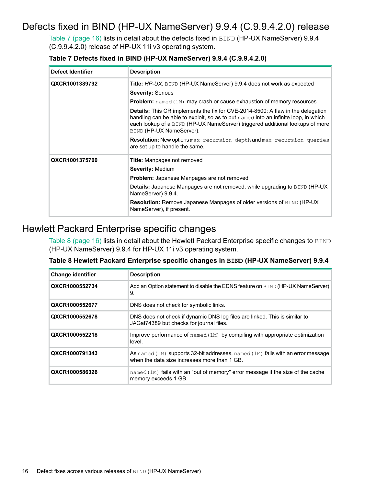### Defects fixed in BIND (HP-UX NameServer) 9.9.4 (C.9.9.4.2.0) release

<span id="page-15-0"></span>Table 7 [\(page](#page-15-2) 16) lists in detail about the defects fixed in BIND (HP-UX NameServer) 9.9.4 (C.9.9.4.2.0) release of HP-UX 11i v3 operating system.

| Defect Identifier | <b>Description</b>                                                                                                                                                                                                                                                                         |  |  |
|-------------------|--------------------------------------------------------------------------------------------------------------------------------------------------------------------------------------------------------------------------------------------------------------------------------------------|--|--|
| QXCR1001389792    | <b>Title:</b> HP-UX: BIND (HP-UX NameServer) 9.9.4 does not work as expected                                                                                                                                                                                                               |  |  |
|                   | <b>Severity: Serious</b>                                                                                                                                                                                                                                                                   |  |  |
|                   | <b>Problem:</b> named (1M) may crash or cause exhaustion of memory resources                                                                                                                                                                                                               |  |  |
|                   | <b>Details:</b> This CR implements the fix for CVE-2014-8500: A flaw in the delegation<br>handling can be able to exploit, so as to put named into an infinite loop, in which<br>each lookup of a BIND (HP-UX NameServer) triggered additional lookups of more<br>BIND (HP-UX NameServer). |  |  |
|                   | <b>Resolution:</b> New options max-recursion-depth and max-recursion-queries<br>are set up to handle the same.                                                                                                                                                                             |  |  |
| QXCR1001375700    | <b>Title:</b> Manpages not removed                                                                                                                                                                                                                                                         |  |  |
|                   | <b>Severity: Medium</b>                                                                                                                                                                                                                                                                    |  |  |
|                   | <b>Problem:</b> Japanese Manpages are not removed                                                                                                                                                                                                                                          |  |  |
|                   | <b>Details:</b> Japanese Manpages are not removed, while upgrading to <b>BIND</b> (HP-UX)<br>NameServer) 9.9.4.                                                                                                                                                                            |  |  |
|                   | <b>Resolution:</b> Remove Japanese Manpages of older versions of BIND (HP-UX)<br>NameServer), if present.                                                                                                                                                                                  |  |  |

#### <span id="page-15-2"></span>**Table 7 Defects fixed in BIND (HP-UX NameServer) 9.9.4 (C.9.9.4.2.0)**

### <span id="page-15-1"></span>Hewlett Packard Enterprise specific changes

<span id="page-15-3"></span>Table 8 [\(page](#page-15-3) 16) lists in detail about the Hewlett Packard Enterprise specific changes to BIND (HP-UX NameServer) 9.9.4 for HP-UX 11i v3 operating system.

| Table 8 Hewlett Packard Enterprise specific changes in BIND (HP-UX NameServer) 9.9.4 |  |
|--------------------------------------------------------------------------------------|--|
|--------------------------------------------------------------------------------------|--|

| <b>Change identifier</b> | <b>Description</b>                                                                                                              |
|--------------------------|---------------------------------------------------------------------------------------------------------------------------------|
| QXCR1000552734           | Add an Option statement to disable the EDNS feature on BIND (HP-UX NameServer)<br>9.                                            |
| QXCR1000552677           | DNS does not check for symbolic links.                                                                                          |
| QXCR1000552678           | DNS does not check if dynamic DNS log files are linked. This is similar to<br>JAGaf74389 but checks for journal files.          |
| QXCR1000552218           | Improve performance of $nameed (1M)$ by compiling with appropriate optimization<br>level.                                       |
| QXCR1000791343           | As named (1M) supports 32-bit addresses, named (1M) fails with an error message<br>when the data size increases more than 1 GB. |
| QXCR1000586326           | $\mu$ named (1M) fails with an "out of memory" error message if the size of the cache<br>memory exceeds 1 GB.                   |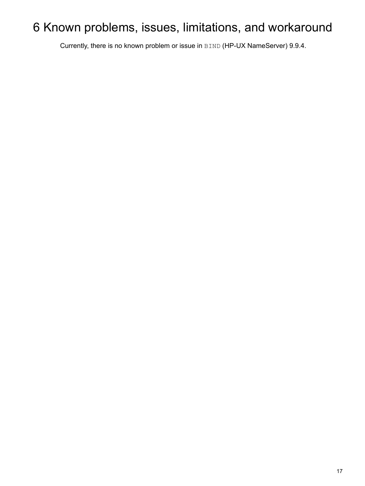## <span id="page-16-0"></span>Known problems, issues, limitations, and workaround

Currently, there is no known problem or issue in BIND (HP-UX NameServer) 9.9.4.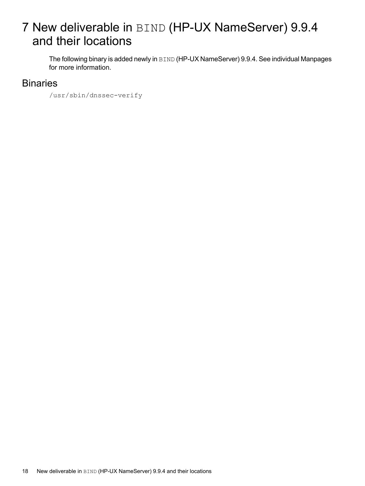## <span id="page-17-0"></span>7 New deliverable in BIND (HP-UX NameServer) 9.9.4 and their locations

<span id="page-17-1"></span>The following binary is added newly in BIND (HP-UX NameServer) 9.9.4. See individual Manpages for more information.

#### **Binaries**

/usr/sbin/dnssec-verify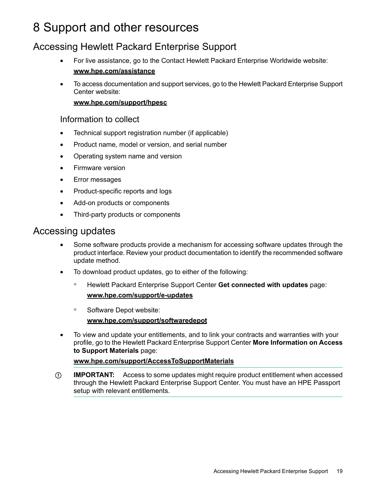## <span id="page-18-0"></span>8 Support and other resources

### Accessing Hewlett Packard Enterprise Support

- <span id="page-18-1"></span>• For live assistance, go to the Contact Hewlett Packard Enterprise Worldwide website: **[www.hpe.com/assistance](http://www.hpe.com/assistance)**
- To access documentation and support services, go to the Hewlett Packard Enterprise Support Center website:

#### **[www.hpe.com/support/hpesc](http://www.hpe.com/support/hpesc)**

#### Information to collect

- Technical support registration number (if applicable)
- Product name, model or version, and serial number
- Operating system name and version
- Firmware version
- Error messages
- Product-specific reports and logs
- <span id="page-18-2"></span>• Add-on products or components
- Third-party products or components

#### Accessing updates

- Some software products provide a mechanism for accessing software updates through the product interface. Review your product documentation to identify the recommended software update method.
- To download product updates, go to either of the following:
	- Hewlett Packard Enterprise Support Center **Get connected with updates** page: **<www.hpe.com/support/e-updates>**  $\circ$
	- Software Depot website:

#### **[www.hpe.com/support/softwaredepot](http://www.hpe.com/support/softwaredepot)**

• To view and update your entitlements, and to link your contracts and warranties with your profile, go to the Hewlett Packard Enterprise Support Center **More Information on Access to Support Materials** page:

#### **[www.hpe.com/support/AccessToSupportMaterials](http://www.hpe.com/support/AccessToSupportMaterials)**

 $\mathbb{O}$ **IMPORTANT:** Access to some updates might require product entitlement when accessed through the Hewlett Packard Enterprise Support Center. You must have an HPE Passport setup with relevant entitlements.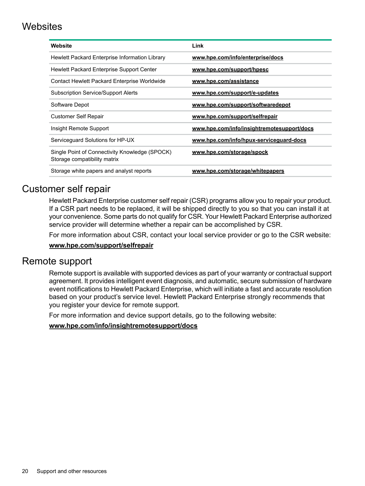### Websites

<span id="page-19-0"></span>

| Website                                                                        | Link                                       |
|--------------------------------------------------------------------------------|--------------------------------------------|
| Hewlett Packard Enterprise Information Library                                 | www.hpe.com/info/enterprise/docs           |
| Hewlett Packard Enterprise Support Center                                      | www.hpe.com/support/hpesc                  |
| Contact Hewlett Packard Enterprise Worldwide                                   | www.hpe.com/assistance                     |
| <b>Subscription Service/Support Alerts</b>                                     | www.hpe.com/support/e-updates              |
| Software Depot                                                                 | www.hpe.com/support/softwaredepot          |
| <b>Customer Self Repair</b>                                                    | www.hpe.com/support/selfrepair             |
| Insight Remote Support                                                         | www.hpe.com/info/insightremotesupport/docs |
| Serviceguard Solutions for HP-UX                                               | www.hpe.com/info/hpux-serviceguard-docs    |
| Single Point of Connectivity Knowledge (SPOCK)<br>Storage compatibility matrix | www.hpe.com/storage/spock                  |
| Storage white papers and analyst reports                                       | www.hpe.com/storage/whitepapers            |

#### <span id="page-19-1"></span>Customer self repair

Hewlett Packard Enterprise customer self repair (CSR) programs allow you to repair your product. If a CSR part needs to be replaced, it will be shipped directly to you so that you can install it at your convenience. Some parts do not qualify for CSR. Your Hewlett Packard Enterprise authorized service provider will determine whether a repair can be accomplished by CSR.

<span id="page-19-2"></span>For more information about CSR, contact your local service provider or go to the CSR website:

#### **[www.hpe.com/support/selfrepair](http://www.hpe.com/support/selfrepair)**

#### Remote support

Remote support is available with supported devices as part of your warranty or contractual support agreement. It provides intelligent event diagnosis, and automatic, secure submission of hardware event notifications to Hewlett Packard Enterprise, which will initiate a fast and accurate resolution based on your product's service level. Hewlett Packard Enterprise strongly recommends that you register your device for remote support.

For more information and device support details, go to the following website:

#### **[www.hpe.com/info/insightremotesupport/docs](http://www.hpe.com/info/insightremotesupport/docs)**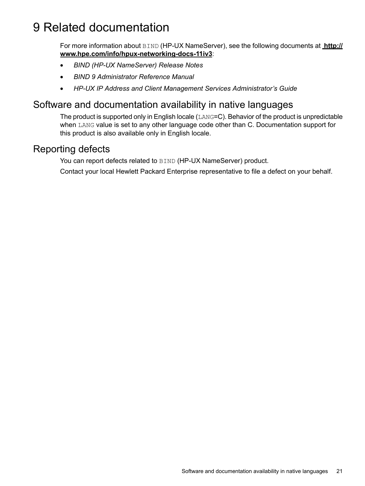## <span id="page-20-0"></span>9 Related documentation

For more information about BIND (HP-UX NameServer), see the following documents at **[http://](http://www.hpe.com/info/hpux-networking-docs-11iv3) [www.hpe.com/info/hpux-networking-docs-11iv3](http://www.hpe.com/info/hpux-networking-docs-11iv3)**:

- *BIND (HP-UX NameServer) Release Notes*
- *BIND 9 Administrator Reference Manual*
- <span id="page-20-1"></span>• *HP-UX IP Address and Client Management Services Administrator's Guide*

#### Software and documentation availability in native languages

<span id="page-20-2"></span>The product is supported only in English locale (LANG=C). Behavior of the product is unpredictable when LANG value is set to any other language code other than C. Documentation support for this product is also available only in English locale.

#### Reporting defects

You can report defects related to BIND (HP-UX NameServer) product.

Contact your local Hewlett Packard Enterprise representative to file a defect on your behalf.